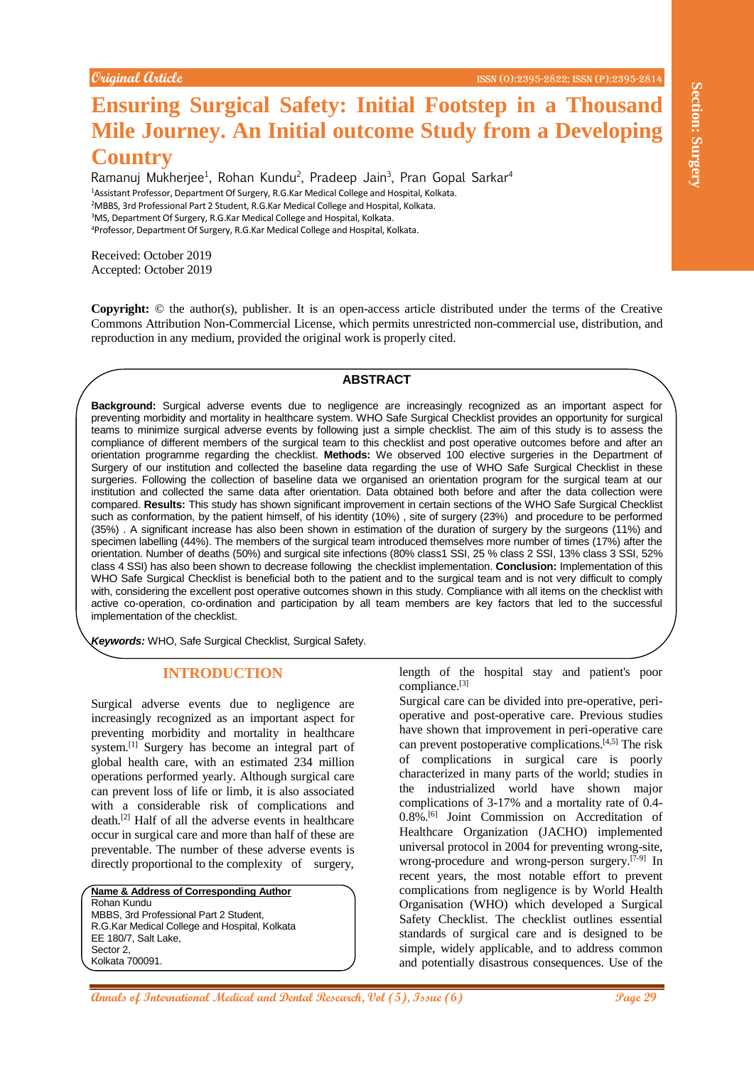# **Ensuring Surgical Safety: Initial Footstep in a Thousand Mile Journey. An Initial outcome Study from a Developing Country**

Ramanuj Mukherjee<sup>1</sup>, Rohan Kundu<sup>2</sup>, Pradeep Jain<sup>3</sup>, Pran Gopal Sarkar<sup>4</sup> Assistant Professor, Department Of Surgery, R.G.Kar Medical College and Hospital, Kolkata. MBBS, 3rd Professional Part 2 Student, R.G.Kar Medical College and Hospital, Kolkata. MS, Department Of Surgery, R.G.Kar Medical College and Hospital, Kolkata. Professor, Department Of Surgery, R.G.Kar Medical College and Hospital, Kolkata.

Received: October 2019 Accepted: October 2019

**Copyright:** © the author(s), publisher. It is an open-access article distributed under the terms of the Creative Commons Attribution Non-Commercial License, which permits unrestricted non-commercial use, distribution, and reproduction in any medium, provided the original work is properly cited.

#### **ABSTRACT**

**Example 2001 Control Control Control Control Control Control Control Control Control Control Control Control Control Control Control Control Control Control Control Control Control Control Control Control Control Contr Background:** Surgical adverse events due to negligence are increasingly recognized as an important aspect for preventing morbidity and mortality in healthcare system. WHO Safe Surgical Checklist provides an opportunity for surgical teams to minimize surgical adverse events by following just a simple checklist. The aim of this study is to assess the compliance of different members of the surgical team to this checklist and post operative outcomes before and after an orientation programme regarding the checklist. **Methods:** We observed 100 elective surgeries in the Department of Surgery of our institution and collected the baseline data regarding the use of WHO Safe Surgical Checklist in these surgeries. Following the collection of baseline data we organised an orientation program for the surgical team at our institution and collected the same data after orientation. Data obtained both before and after the data collection were compared. **Results:** This study has shown significant improvement in certain sections of the WHO Safe Surgical Checklist such as conformation, by the patient himself, of his identity (10%) , site of surgery (23%) and procedure to be performed (35%) . A significant increase has also been shown in estimation of the duration of surgery by the surgeons (11%) and specimen labelling (44%). The members of the surgical team introduced themselves more number of times (17%) after the orientation. Number of deaths (50%) and surgical site infections (80% class1 SSI, 25 % class 2 SSI, 13% class 3 SSI, 52% class 4 SSI) has also been shown to decrease following the checklist implementation. **Conclusion:** Implementation of this WHO Safe Surgical Checklist is beneficial both to the patient and to the surgical team and is not very difficult to comply with, considering the excellent post operative outcomes shown in this study. Compliance with all items on the checklist with active co-operation, co-ordination and participation by all team members are key factors that led to the successful implementation of the checklist.

*Keywords:* WHO, Safe Surgical Checklist, Surgical Safety.

## **INTRODUCTION**

Surgical adverse events due to negligence are increasingly recognized as an important aspect for preventing morbidity and mortality in healthcare system.<sup>[1]</sup> Surgery has become an integral part of global health care, with an estimated 234 million operations performed yearly. Although surgical care can prevent loss of life or limb, it is also associated with a considerable risk of complications and death. [2] Half of all the adverse events in healthcare occur in surgical care and more than half of these are preventable. The number of these adverse events is directly proportional to the complexity of surgery,

**Name & Address of Corresponding Author** Rohan Kundu MBBS, 3rd Professional Part 2 Student, R.G.Kar Medical College and Hospital, Kolkata EE 180/7, Salt Lake, Sector 2, Kolkata 700091.

length of the hospital stay and patient's poor compliance. [3]

Surgical care can be divided into pre-operative, perioperative and post-operative care. Previous studies have shown that improvement in peri-operative care can prevent postoperative complications. [4,5] The risk of complications in surgical care is poorly characterized in many parts of the world; studies in the industrialized world have shown major complications of 3-17% and a mortality rate of 0.4- 0.8%. [6] Joint Commission on Accreditation of Healthcare Organization (JACHO) implemented universal protocol in 2004 for preventing wrong-site, wrong-procedure and wrong-person surgery.<sup>[7-9]</sup> In recent years, the most notable effort to prevent complications from negligence is by World Health Organisation (WHO) which developed a Surgical Safety Checklist. The checklist outlines essential standards of surgical care and is designed to be simple, widely applicable, and to address common and potentially disastrous consequences. Use of the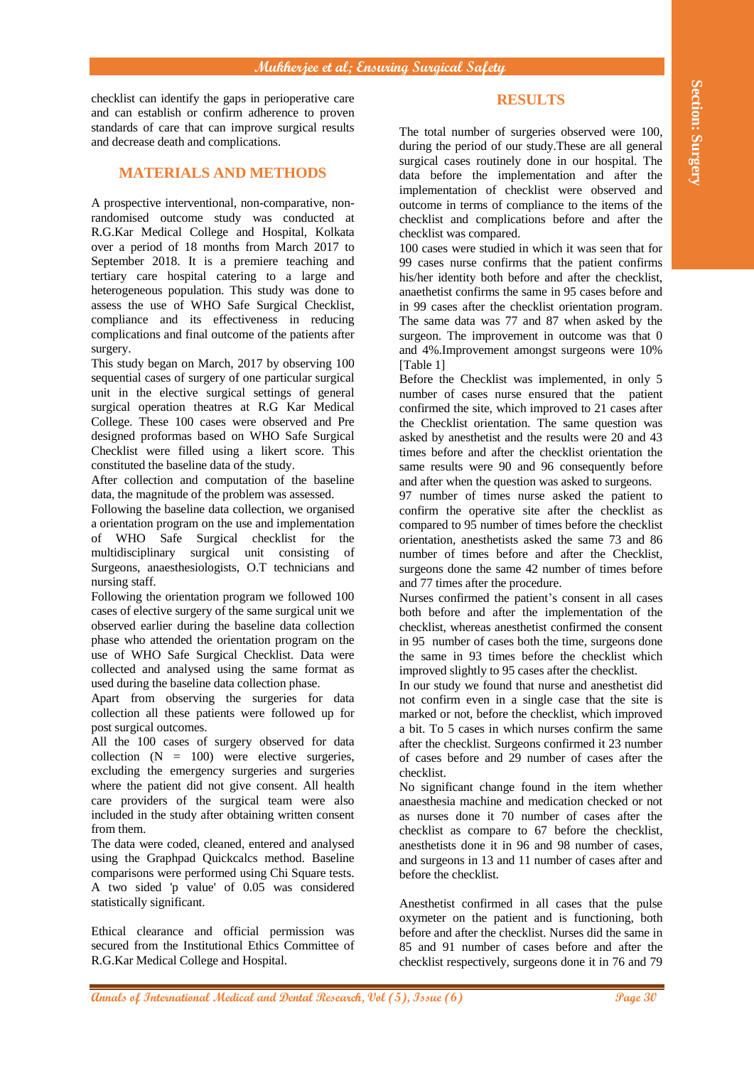checklist can identify the gaps in perioperative care and can establish or confirm adherence to proven standards of care that can improve surgical results and decrease death and complications.

## **MATERIALS AND METHODS**

**Annals on Equipper System and The University can be a set of the system and the system and the system and the system and the system and the system and the system and the system and the system and the system and the system** A prospective interventional, non-comparative, nonrandomised outcome study was conducted at R.G.Kar Medical College and Hospital, Kolkata over a period of 18 months from March 2017 to September 2018. It is a premiere teaching and tertiary care hospital catering to a large and heterogeneous population. This study was done to assess the use of WHO Safe Surgical Checklist, compliance and its effectiveness in reducing complications and final outcome of the patients after surgery.

This study began on March, 2017 by observing 100 sequential cases of surgery of one particular surgical unit in the elective surgical settings of general surgical operation theatres at R.G Kar Medical College. These 100 cases were observed and Pre designed proformas based on WHO Safe Surgical Checklist were filled using a likert score. This constituted the baseline data of the study.

After collection and computation of the baseline data, the magnitude of the problem was assessed.

Following the baseline data collection, we organised a orientation program on the use and implementation of WHO Safe Surgical checklist for the multidisciplinary surgical unit consisting of Surgeons, anaesthesiologists, O.T technicians and nursing staff.

Following the orientation program we followed 100 cases of elective surgery of the same surgical unit we observed earlier during the baseline data collection phase who attended the orientation program on the use of WHO Safe Surgical Checklist. Data were collected and analysed using the same format as used during the baseline data collection phase.

Apart from observing the surgeries for data collection all these patients were followed up for post surgical outcomes.

All the 100 cases of surgery observed for data collection  $(N = 100)$  were elective surgeries, excluding the emergency surgeries and surgeries where the patient did not give consent. All health care providers of the surgical team were also included in the study after obtaining written consent from them.

The data were coded, cleaned, entered and analysed using the Graphpad Quickcalcs method. Baseline comparisons were performed using Chi Square tests. A two sided 'p value' of 0.05 was considered statistically significant.

Ethical clearance and official permission was secured from the Institutional Ethics Committee of R.G.Kar Medical College and Hospital.

## **RESULTS**

The total number of surgeries observed were 100, during the period of our study.These are all general surgical cases routinely done in our hospital. The data before the implementation and after the implementation of checklist were observed and outcome in terms of compliance to the items of the checklist and complications before and after the checklist was compared.

100 cases were studied in which it was seen that for 99 cases nurse confirms that the patient confirms his/her identity both before and after the checklist, anaethetist confirms the same in 95 cases before and in 99 cases after the checklist orientation program. The same data was 77 and 87 when asked by the surgeon. The improvement in outcome was that 0 and 4%.Improvement amongst surgeons were 10% [Table 1]

Before the Checklist was implemented, in only 5 number of cases nurse ensured that the patient confirmed the site, which improved to 21 cases after the Checklist orientation. The same question was asked by anesthetist and the results were 20 and 43 times before and after the checklist orientation the same results were 90 and 96 consequently before and after when the question was asked to surgeons.

97 number of times nurse asked the patient to confirm the operative site after the checklist as compared to 95 number of times before the checklist orientation, anesthetists asked the same 73 and 86 number of times before and after the Checklist, surgeons done the same 42 number of times before and 77 times after the procedure.

Nurses confirmed the patient's consent in all cases both before and after the implementation of the checklist, whereas anesthetist confirmed the consent in 95 number of cases both the time, surgeons done the same in 93 times before the checklist which improved slightly to 95 cases after the checklist.

In our study we found that nurse and anesthetist did not confirm even in a single case that the site is marked or not, before the checklist, which improved a bit. To 5 cases in which nurses confirm the same after the checklist. Surgeons confirmed it 23 number of cases before and 29 number of cases after the checklist.

No significant change found in the item whether anaesthesia machine and medication checked or not as nurses done it 70 number of cases after the checklist as compare to 67 before the checklist, anesthetists done it in 96 and 98 number of cases, and surgeons in 13 and 11 number of cases after and before the checklist.

Anesthetist confirmed in all cases that the pulse oxymeter on the patient and is functioning, both before and after the checklist. Nurses did the same in 85 and 91 number of cases before and after the checklist respectively, surgeons done it in 76 and 79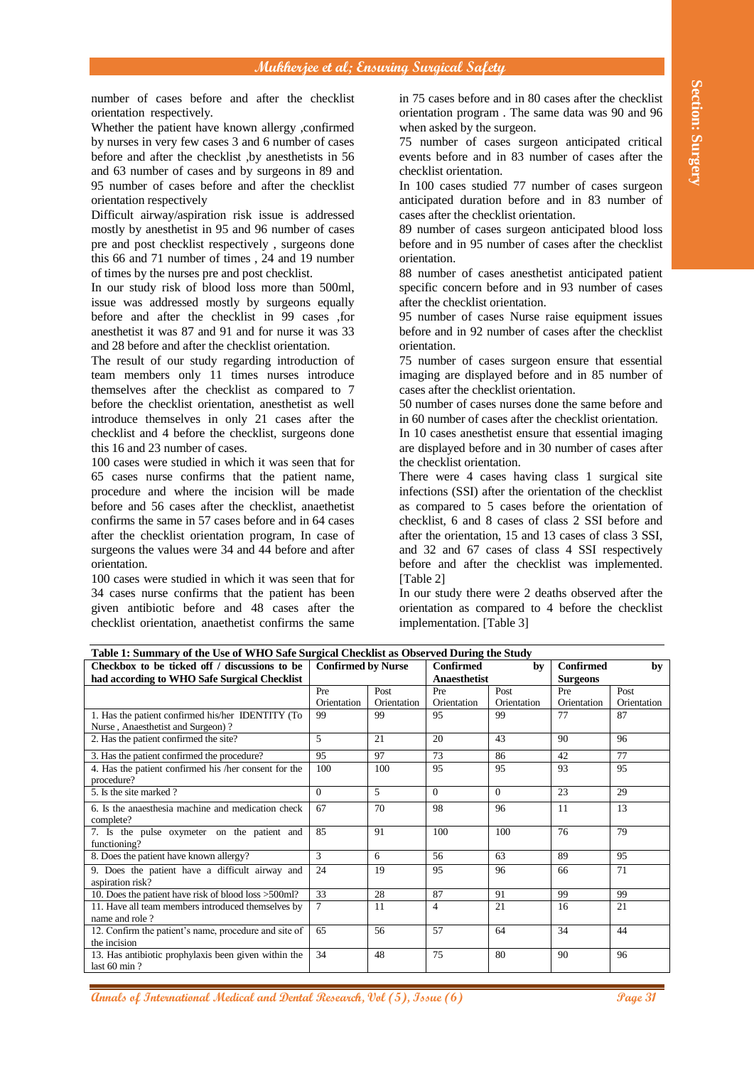| Section: Surgery |                                                                                                                                                        | in 75 cases before and in 80 cases after the checklist | orientation program. The same data was 90 and 96<br>75 number of cases surgeon anticipated critical<br>events before and in 83 number of cases after the<br>In 100 cases studied 77 number of cases surgeon<br>anticipated duration before and in 83 number of<br>cases after the checklist orientation.<br>89 number of cases surgeon anticipated blood loss<br>before and in 95 number of cases after the checklist<br>88 number of cases anesthetist anticipated patient<br>specific concern before and in 93 number of cases | when asked by the surgeon.<br>checklist orientation.<br>orientation. |                                                      | number of cases before and after the checklist<br>orientation respectively.<br>Whether the patient have known allergy ,confirmed<br>by nurses in very few cases 3 and 6 number of cases<br>before and after the checklist, by anesthetists in 56<br>and 63 number of cases and by surgeons in 89 and<br>95 number of cases before and after the checklist<br>orientation respectively<br>Difficult airway/aspiration risk issue is addressed<br>mostly by anesthetist in 95 and 96 number of cases<br>pre and post checklist respectively, surgeons done<br>this 66 and 71 number of times, 24 and 19 number<br>of times by the nurses pre and post checklist.<br>In our study risk of blood loss more than 500ml, |                                                                                                                                                                                                                                                                                                                        |  |  |
|------------------|--------------------------------------------------------------------------------------------------------------------------------------------------------|--------------------------------------------------------|----------------------------------------------------------------------------------------------------------------------------------------------------------------------------------------------------------------------------------------------------------------------------------------------------------------------------------------------------------------------------------------------------------------------------------------------------------------------------------------------------------------------------------|----------------------------------------------------------------------|------------------------------------------------------|--------------------------------------------------------------------------------------------------------------------------------------------------------------------------------------------------------------------------------------------------------------------------------------------------------------------------------------------------------------------------------------------------------------------------------------------------------------------------------------------------------------------------------------------------------------------------------------------------------------------------------------------------------------------------------------------------------------------|------------------------------------------------------------------------------------------------------------------------------------------------------------------------------------------------------------------------------------------------------------------------------------------------------------------------|--|--|
|                  |                                                                                                                                                        |                                                        | 95 number of cases Nurse raise equipment issues<br>before and in 92 number of cases after the checklist<br>75 number of cases surgeon ensure that essential<br>imaging are displayed before and in 85 number of                                                                                                                                                                                                                                                                                                                  | after the checklist orientation.<br>orientation.                     |                                                      |                                                                                                                                                                                                                                                                                                                                                                                                                                                                                                                                                                                                                                                                                                                    | issue was addressed mostly by surgeons equally<br>before and after the checklist in 99 cases , for<br>and the nurse it was 87 and 91 and for nurse it was 33<br>and 28 before and after the checklist orientation.<br>The result of our study regarding introduction of<br>team members only 11 times nurses introduce |  |  |
|                  | cases after the checklist orientation.<br>50 number of cases nurses done the same before and<br>in 60 number of cases after the checklist orientation. |                                                        |                                                                                                                                                                                                                                                                                                                                                                                                                                                                                                                                  |                                                                      |                                                      | themselves after the checklist as compared to 7<br>before the checklist orientation, anesthetist as well                                                                                                                                                                                                                                                                                                                                                                                                                                                                                                                                                                                                           |                                                                                                                                                                                                                                                                                                                        |  |  |
|                  |                                                                                                                                                        |                                                        |                                                                                                                                                                                                                                                                                                                                                                                                                                                                                                                                  |                                                                      |                                                      |                                                                                                                                                                                                                                                                                                                                                                                                                                                                                                                                                                                                                                                                                                                    |                                                                                                                                                                                                                                                                                                                        |  |  |
|                  |                                                                                                                                                        |                                                        | In 10 cases an esthetist ensure that essential imaging<br>are displayed before and in 30 number of cases after                                                                                                                                                                                                                                                                                                                                                                                                                   |                                                                      |                                                      |                                                                                                                                                                                                                                                                                                                                                                                                                                                                                                                                                                                                                                                                                                                    | introduce themselves in only 21 cases after the<br>checklist and 4 before the checklist, surgeons done<br>this 16 and 23 number of cases.                                                                                                                                                                              |  |  |
|                  |                                                                                                                                                        |                                                        |                                                                                                                                                                                                                                                                                                                                                                                                                                                                                                                                  | the checklist orientation.                                           |                                                      |                                                                                                                                                                                                                                                                                                                                                                                                                                                                                                                                                                                                                                                                                                                    | 100 cases were studied in which it was seen that for                                                                                                                                                                                                                                                                   |  |  |
|                  |                                                                                                                                                        |                                                        | There were 4 cases having class 1 surgical site                                                                                                                                                                                                                                                                                                                                                                                                                                                                                  |                                                                      |                                                      |                                                                                                                                                                                                                                                                                                                                                                                                                                                                                                                                                                                                                                                                                                                    | 65 cases nurse confirms that the patient name,                                                                                                                                                                                                                                                                         |  |  |
|                  | infections (SSI) after the orientation of the checklist<br>as compared to 5 cases before the orientation of                                            |                                                        |                                                                                                                                                                                                                                                                                                                                                                                                                                                                                                                                  |                                                                      |                                                      |                                                                                                                                                                                                                                                                                                                                                                                                                                                                                                                                                                                                                                                                                                                    | procedure and where the incision will be made<br>before and 56 cases after the checklist, anaethetist                                                                                                                                                                                                                  |  |  |
|                  |                                                                                                                                                        |                                                        |                                                                                                                                                                                                                                                                                                                                                                                                                                                                                                                                  |                                                                      | confirms the same in 57 cases before and in 64 cases |                                                                                                                                                                                                                                                                                                                                                                                                                                                                                                                                                                                                                                                                                                                    |                                                                                                                                                                                                                                                                                                                        |  |  |
|                  |                                                                                                                                                        |                                                        | checklist, 6 and 8 cases of class 2 SSI before and                                                                                                                                                                                                                                                                                                                                                                                                                                                                               |                                                                      |                                                      |                                                                                                                                                                                                                                                                                                                                                                                                                                                                                                                                                                                                                                                                                                                    |                                                                                                                                                                                                                                                                                                                        |  |  |
|                  |                                                                                                                                                        |                                                        | after the orientation, 15 and 13 cases of class 3 SSI,                                                                                                                                                                                                                                                                                                                                                                                                                                                                           |                                                                      |                                                      |                                                                                                                                                                                                                                                                                                                                                                                                                                                                                                                                                                                                                                                                                                                    | after the checklist orientation program, In case of                                                                                                                                                                                                                                                                    |  |  |
|                  |                                                                                                                                                        |                                                        | and 32 and 67 cases of class 4 SSI respectively                                                                                                                                                                                                                                                                                                                                                                                                                                                                                  |                                                                      |                                                      |                                                                                                                                                                                                                                                                                                                                                                                                                                                                                                                                                                                                                                                                                                                    | surgeons the values were 34 and 44 before and after                                                                                                                                                                                                                                                                    |  |  |
|                  |                                                                                                                                                        |                                                        | before and after the checklist was implemented.                                                                                                                                                                                                                                                                                                                                                                                                                                                                                  |                                                                      |                                                      |                                                                                                                                                                                                                                                                                                                                                                                                                                                                                                                                                                                                                                                                                                                    | orientation.                                                                                                                                                                                                                                                                                                           |  |  |
|                  |                                                                                                                                                        |                                                        |                                                                                                                                                                                                                                                                                                                                                                                                                                                                                                                                  |                                                                      | [Table $2$ ]                                         |                                                                                                                                                                                                                                                                                                                                                                                                                                                                                                                                                                                                                                                                                                                    | 100 cases were studied in which it was seen that for                                                                                                                                                                                                                                                                   |  |  |
|                  |                                                                                                                                                        |                                                        | In our study there were 2 deaths observed after the<br>orientation as compared to 4 before the checklist                                                                                                                                                                                                                                                                                                                                                                                                                         |                                                                      |                                                      |                                                                                                                                                                                                                                                                                                                                                                                                                                                                                                                                                                                                                                                                                                                    | 34 cases nurse confirms that the patient has been                                                                                                                                                                                                                                                                      |  |  |
|                  |                                                                                                                                                        |                                                        |                                                                                                                                                                                                                                                                                                                                                                                                                                                                                                                                  | implementation. [Table 3]                                            |                                                      |                                                                                                                                                                                                                                                                                                                                                                                                                                                                                                                                                                                                                                                                                                                    | given antibiotic before and 48 cases after the<br>checklist orientation, anaethetist confirms the same                                                                                                                                                                                                                 |  |  |
|                  |                                                                                                                                                        |                                                        |                                                                                                                                                                                                                                                                                                                                                                                                                                                                                                                                  |                                                                      |                                                      |                                                                                                                                                                                                                                                                                                                                                                                                                                                                                                                                                                                                                                                                                                                    |                                                                                                                                                                                                                                                                                                                        |  |  |
|                  |                                                                                                                                                        |                                                        |                                                                                                                                                                                                                                                                                                                                                                                                                                                                                                                                  |                                                                      |                                                      |                                                                                                                                                                                                                                                                                                                                                                                                                                                                                                                                                                                                                                                                                                                    | Table 1: Summary of the Use of WHO Safe Surgical Checklist as Observed During the Study                                                                                                                                                                                                                                |  |  |
|                  | by                                                                                                                                                     | <b>Confirmed</b><br><b>Surgeons</b>                    | bv                                                                                                                                                                                                                                                                                                                                                                                                                                                                                                                               | <b>Confirmed</b><br>Anaesthetist                                     |                                                      | <b>Confirmed by Nurse</b>                                                                                                                                                                                                                                                                                                                                                                                                                                                                                                                                                                                                                                                                                          | Checkbox to be ticked off / discussions to be<br>had according to WHO Safe Surgical Checklist                                                                                                                                                                                                                          |  |  |
|                  | Post                                                                                                                                                   | Pre                                                    | Post                                                                                                                                                                                                                                                                                                                                                                                                                                                                                                                             | Pre                                                                  | Post                                                 | Pre                                                                                                                                                                                                                                                                                                                                                                                                                                                                                                                                                                                                                                                                                                                |                                                                                                                                                                                                                                                                                                                        |  |  |
|                  | Orientation<br>87                                                                                                                                      | Orientation<br>77                                      | Orientation<br>99                                                                                                                                                                                                                                                                                                                                                                                                                                                                                                                | Orientation<br>95                                                    | Orientation<br>99                                    | Orientation<br>99                                                                                                                                                                                                                                                                                                                                                                                                                                                                                                                                                                                                                                                                                                  | 1. Has the patient confirmed his/her IDENTITY (To                                                                                                                                                                                                                                                                      |  |  |
|                  |                                                                                                                                                        |                                                        |                                                                                                                                                                                                                                                                                                                                                                                                                                                                                                                                  |                                                                      |                                                      |                                                                                                                                                                                                                                                                                                                                                                                                                                                                                                                                                                                                                                                                                                                    | Nurse, Anaesthetist and Surgeon)?                                                                                                                                                                                                                                                                                      |  |  |
|                  | 96                                                                                                                                                     | 90                                                     | 43                                                                                                                                                                                                                                                                                                                                                                                                                                                                                                                               | 20                                                                   | 21                                                   | $\overline{5}$                                                                                                                                                                                                                                                                                                                                                                                                                                                                                                                                                                                                                                                                                                     | 2. Has the patient confirmed the site?                                                                                                                                                                                                                                                                                 |  |  |
|                  | 77                                                                                                                                                     | 42                                                     | 86                                                                                                                                                                                                                                                                                                                                                                                                                                                                                                                               | 73                                                                   | 97                                                   | 95                                                                                                                                                                                                                                                                                                                                                                                                                                                                                                                                                                                                                                                                                                                 | 3. Has the patient confirmed the procedure?                                                                                                                                                                                                                                                                            |  |  |
|                  | 95                                                                                                                                                     | 93                                                     | 95                                                                                                                                                                                                                                                                                                                                                                                                                                                                                                                               | 95                                                                   | 100                                                  | 100                                                                                                                                                                                                                                                                                                                                                                                                                                                                                                                                                                                                                                                                                                                | 4. Has the patient confirmed his /her consent for the<br>procedure?                                                                                                                                                                                                                                                    |  |  |
|                  | 29                                                                                                                                                     | $\overline{23}$                                        | $\Omega$                                                                                                                                                                                                                                                                                                                                                                                                                                                                                                                         | $\Omega$                                                             | 5                                                    | $\overline{0}$                                                                                                                                                                                                                                                                                                                                                                                                                                                                                                                                                                                                                                                                                                     | 5. Is the site marked ?                                                                                                                                                                                                                                                                                                |  |  |
|                  | 13                                                                                                                                                     | 11                                                     | 96                                                                                                                                                                                                                                                                                                                                                                                                                                                                                                                               | 98                                                                   | 70                                                   | 67                                                                                                                                                                                                                                                                                                                                                                                                                                                                                                                                                                                                                                                                                                                 | 6. Is the anaesthesia machine and medication check                                                                                                                                                                                                                                                                     |  |  |
|                  | 79                                                                                                                                                     | 76                                                     | 100                                                                                                                                                                                                                                                                                                                                                                                                                                                                                                                              | 100                                                                  | 91                                                   | 85                                                                                                                                                                                                                                                                                                                                                                                                                                                                                                                                                                                                                                                                                                                 | complete?<br>7. Is the pulse oxymeter on the patient and<br>functioning?                                                                                                                                                                                                                                               |  |  |
|                  | 95                                                                                                                                                     | 89                                                     | 63                                                                                                                                                                                                                                                                                                                                                                                                                                                                                                                               | 56                                                                   | 6                                                    | $\overline{3}$                                                                                                                                                                                                                                                                                                                                                                                                                                                                                                                                                                                                                                                                                                     | 8. Does the patient have known allergy?                                                                                                                                                                                                                                                                                |  |  |
|                  | 71                                                                                                                                                     | 66                                                     | 96                                                                                                                                                                                                                                                                                                                                                                                                                                                                                                                               | 95                                                                   | 19                                                   | 24                                                                                                                                                                                                                                                                                                                                                                                                                                                                                                                                                                                                                                                                                                                 | 9. Does the patient have a difficult airway and<br>aspiration risk?                                                                                                                                                                                                                                                    |  |  |
|                  | 99                                                                                                                                                     | 99                                                     | 91                                                                                                                                                                                                                                                                                                                                                                                                                                                                                                                               | 87                                                                   | 28                                                   | 33                                                                                                                                                                                                                                                                                                                                                                                                                                                                                                                                                                                                                                                                                                                 | 10. Does the patient have risk of blood loss >500ml?                                                                                                                                                                                                                                                                   |  |  |
|                  | 21                                                                                                                                                     | 16                                                     | 21                                                                                                                                                                                                                                                                                                                                                                                                                                                                                                                               | $\overline{\mathbf{4}}$                                              | 11                                                   | $\tau$                                                                                                                                                                                                                                                                                                                                                                                                                                                                                                                                                                                                                                                                                                             | 11. Have all team members introduced themselves by<br>name and role?                                                                                                                                                                                                                                                   |  |  |
|                  | 44                                                                                                                                                     | 34                                                     | 64                                                                                                                                                                                                                                                                                                                                                                                                                                                                                                                               | 57<br>75                                                             | 56                                                   | 65<br>34                                                                                                                                                                                                                                                                                                                                                                                                                                                                                                                                                                                                                                                                                                           | 12. Confirm the patient's name, procedure and site of<br>the incision<br>13. Has antibiotic prophylaxis been given within the                                                                                                                                                                                          |  |  |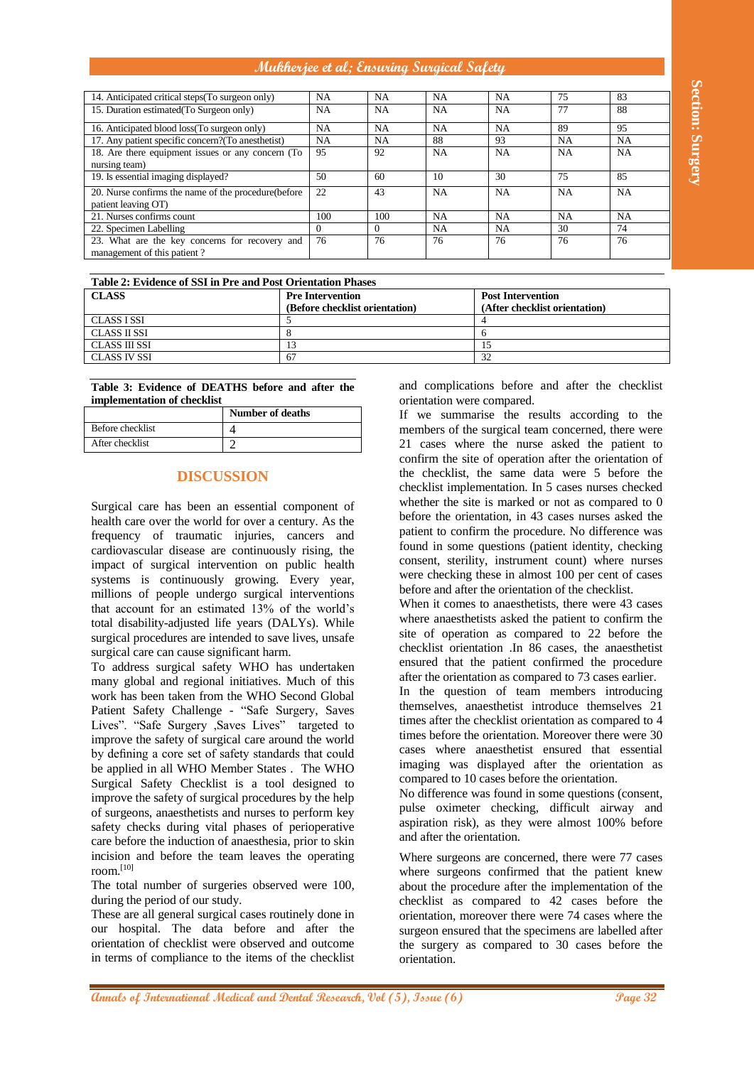**Mukherjee et al; Ensuring Surgical Safety**

| 14. Anticipated critical steps(To surgeon only)<br>15. Duration estimated (To Surgeon only)                                                                                                                                                                                                                                            |                           | NA<br>NA       | NA<br>NA       | NA.<br><b>NA</b>           | NA<br><b>NA</b>                                        | 75<br>77                                       | 83<br>88                                                                                                    |
|----------------------------------------------------------------------------------------------------------------------------------------------------------------------------------------------------------------------------------------------------------------------------------------------------------------------------------------|---------------------------|----------------|----------------|----------------------------|--------------------------------------------------------|------------------------------------------------|-------------------------------------------------------------------------------------------------------------|
| 16. Anticipated blood loss(To surgeon only)                                                                                                                                                                                                                                                                                            |                           | NA             | <b>NA</b>      | NA                         | <b>NA</b>                                              | 89                                             | 95                                                                                                          |
| 17. Any patient specific concern?(To anesthetist)                                                                                                                                                                                                                                                                                      |                           | NA             | <b>NA</b>      | 88                         | 93                                                     | NA                                             | NA                                                                                                          |
| 18. Are there equipment issues or any concern (To                                                                                                                                                                                                                                                                                      |                           | 95             | 92             | NA                         | NA                                                     | NA                                             | NA                                                                                                          |
| nursing team)<br>19. Is essential imaging displayed?                                                                                                                                                                                                                                                                                   |                           | 50             | 60             | 10                         | $\overline{30}$                                        | 75                                             | 85                                                                                                          |
| 20. Nurse confirms the name of the procedure(before                                                                                                                                                                                                                                                                                    |                           | 22             | 43             | <b>NA</b>                  | NA                                                     | NA                                             | <b>NA</b>                                                                                                   |
| patient leaving OT)                                                                                                                                                                                                                                                                                                                    |                           |                |                |                            |                                                        |                                                |                                                                                                             |
| 21. Nurses confirms count                                                                                                                                                                                                                                                                                                              |                           | 100            | 100            | NA                         | <b>NA</b>                                              | <b>NA</b>                                      | <b>NA</b>                                                                                                   |
| 22. Specimen Labelling                                                                                                                                                                                                                                                                                                                 |                           | $\Omega$<br>76 | $\Omega$<br>76 | NA<br>76                   | <b>NA</b><br>76                                        | 30<br>76                                       | 74<br>76                                                                                                    |
| 23. What are the key concerns for recovery and<br>management of this patient?                                                                                                                                                                                                                                                          |                           |                |                |                            |                                                        |                                                |                                                                                                             |
|                                                                                                                                                                                                                                                                                                                                        |                           |                |                |                            |                                                        |                                                |                                                                                                             |
| Table 2: Evidence of SSI in Pre and Post Orientation Phases                                                                                                                                                                                                                                                                            |                           |                |                |                            |                                                        |                                                |                                                                                                             |
| <b>CLASS</b><br><b>Pre Intervention</b><br>(Before checklist orientation)                                                                                                                                                                                                                                                              |                           |                |                | <b>Post Intervention</b>   | (After checklist orientation)                          |                                                |                                                                                                             |
| <b>CLASS ISSI</b><br>5                                                                                                                                                                                                                                                                                                                 |                           |                |                |                            | $\overline{4}$                                         |                                                |                                                                                                             |
| <b>CLASS II SSI</b><br>8                                                                                                                                                                                                                                                                                                               |                           |                |                |                            | 6                                                      |                                                |                                                                                                             |
| <b>CLASS III SSI</b>                                                                                                                                                                                                                                                                                                                   | 13                        |                |                |                            | 15                                                     |                                                |                                                                                                             |
|                                                                                                                                                                                                                                                                                                                                        | <b>CLASS IV SSI</b><br>67 |                |                |                            | $\overline{32}$                                        |                                                |                                                                                                             |
| Table 3: Evidence of DEATHS before and after the                                                                                                                                                                                                                                                                                       |                           |                |                |                            |                                                        |                                                | and complications before and after the checklist                                                            |
| implementation of checklist                                                                                                                                                                                                                                                                                                            |                           |                |                |                            | orientation were compared.                             |                                                |                                                                                                             |
|                                                                                                                                                                                                                                                                                                                                        | Number of deaths          |                |                |                            |                                                        |                                                | If we summarise the results according to the                                                                |
| Before checklist                                                                                                                                                                                                                                                                                                                       | $\overline{\mathcal{A}}$  |                |                |                            |                                                        |                                                | members of the surgical team concerned, there were                                                          |
| After checklist                                                                                                                                                                                                                                                                                                                        | $\overline{2}$            |                |                |                            |                                                        |                                                | 21 cases where the nurse asked the patient to                                                               |
|                                                                                                                                                                                                                                                                                                                                        |                           |                |                |                            |                                                        |                                                | confirm the site of operation after the orientation of                                                      |
|                                                                                                                                                                                                                                                                                                                                        | <b>DISCUSSION</b>         |                |                |                            |                                                        |                                                | the checklist, the same data were 5 before the                                                              |
|                                                                                                                                                                                                                                                                                                                                        |                           |                |                |                            |                                                        |                                                | checklist implementation. In 5 cases nurses checked                                                         |
| Surgical care has been an essential component of                                                                                                                                                                                                                                                                                       |                           |                |                |                            |                                                        |                                                | whether the site is marked or not as compared to $0$                                                        |
| health care over the world for over a century. As the                                                                                                                                                                                                                                                                                  |                           |                |                |                            |                                                        |                                                | before the orientation, in 43 cases nurses asked the                                                        |
| frequency of traumatic injuries, cancers and                                                                                                                                                                                                                                                                                           |                           |                |                |                            |                                                        |                                                | patient to confirm the procedure. No difference was                                                         |
| cardiovascular disease are continuously rising, the                                                                                                                                                                                                                                                                                    |                           |                |                |                            |                                                        |                                                | found in some questions (patient identity, checking                                                         |
| impact of surgical intervention on public health                                                                                                                                                                                                                                                                                       |                           |                |                |                            |                                                        |                                                | consent, sterility, instrument count) where nurses                                                          |
| systems is continuously growing. Every year,                                                                                                                                                                                                                                                                                           |                           |                |                |                            |                                                        |                                                | were checking these in almost 100 per cent of cases                                                         |
| millions of people undergo surgical interventions                                                                                                                                                                                                                                                                                      |                           |                |                |                            | before and after the orientation of the checklist.     |                                                |                                                                                                             |
| that account for an estimated 13% of the world's                                                                                                                                                                                                                                                                                       |                           |                |                |                            |                                                        |                                                | When it comes to anaesthetists, there were 43 cases<br>where anaesthetists asked the patient to confirm the |
| total disability-adjusted life years (DALYs). While                                                                                                                                                                                                                                                                                    |                           |                |                |                            |                                                        |                                                | site of operation as compared to 22 before the                                                              |
| surgical procedures are intended to save lives, unsafe                                                                                                                                                                                                                                                                                 |                           |                |                |                            |                                                        |                                                | checklist orientation .In 86 cases, the anaesthetist                                                        |
| surgical care can cause significant harm.                                                                                                                                                                                                                                                                                              |                           |                |                |                            |                                                        |                                                | ensured that the patient confirmed the procedure                                                            |
| To address surgical safety WHO has undertaken                                                                                                                                                                                                                                                                                          |                           |                |                |                            | after the orientation as compared to 73 cases earlier. |                                                |                                                                                                             |
| many global and regional initiatives. Much of this<br>work has been taken from the WHO Second Global                                                                                                                                                                                                                                   |                           |                |                |                            |                                                        |                                                | In the question of team members introducing                                                                 |
| Patient Safety Challenge - "Safe Surgery, Saves                                                                                                                                                                                                                                                                                        |                           |                |                |                            |                                                        |                                                | themselves, anaesthetist introduce themselves 21                                                            |
| Lives". "Safe Surgery , Saves Lives" targeted to                                                                                                                                                                                                                                                                                       |                           |                |                |                            |                                                        |                                                | times after the checklist orientation as compared to 4                                                      |
| improve the safety of surgical care around the world                                                                                                                                                                                                                                                                                   |                           |                |                |                            |                                                        |                                                | times before the orientation. Moreover there were 30                                                        |
|                                                                                                                                                                                                                                                                                                                                        |                           |                |                |                            |                                                        |                                                | cases where anaesthetist ensured that essential                                                             |
| by defining a core set of safety standards that could<br>be applied in all WHO Member States . The WHO                                                                                                                                                                                                                                 |                           |                |                |                            |                                                        | imaging was displayed after the orientation as |                                                                                                             |
| Surgical Safety Checklist is a tool designed to<br>improve the safety of surgical procedures by the help<br>of surgeons, anaesthetists and nurses to perform key<br>safety checks during vital phases of perioperative<br>care before the induction of anaesthesia, prior to skin<br>incision and before the team leaves the operating |                           |                |                |                            | compared to 10 cases before the orientation.           |                                                |                                                                                                             |
|                                                                                                                                                                                                                                                                                                                                        |                           |                |                |                            |                                                        |                                                | No difference was found in some questions (consent,                                                         |
|                                                                                                                                                                                                                                                                                                                                        |                           |                |                |                            |                                                        |                                                | pulse oximeter checking, difficult airway and                                                               |
|                                                                                                                                                                                                                                                                                                                                        |                           |                |                |                            |                                                        |                                                | aspiration risk), as they were almost 100% before                                                           |
|                                                                                                                                                                                                                                                                                                                                        |                           |                |                | and after the orientation. |                                                        |                                                |                                                                                                             |
|                                                                                                                                                                                                                                                                                                                                        |                           |                |                |                            |                                                        |                                                | Where surgeons are concerned, there were 77 cases                                                           |
| room.[10]                                                                                                                                                                                                                                                                                                                              |                           |                |                |                            |                                                        |                                                | where surgeons confirmed that the patient knew                                                              |
| The total number of surgeries observed were 100,                                                                                                                                                                                                                                                                                       |                           |                |                |                            |                                                        |                                                | about the procedure after the implementation of the                                                         |
| during the period of our study.                                                                                                                                                                                                                                                                                                        |                           |                |                |                            |                                                        |                                                | checklist as compared to 42 cases before the                                                                |
| These are all general surgical cases routinely done in                                                                                                                                                                                                                                                                                 |                           |                |                |                            |                                                        |                                                | orientation, moreover there were 74 cases where the                                                         |
| our hospital. The data before and after the                                                                                                                                                                                                                                                                                            |                           |                |                |                            |                                                        |                                                | surgeon ensured that the specimens are labelled after                                                       |
| orientation of checklist were observed and outcome                                                                                                                                                                                                                                                                                     |                           |                |                |                            |                                                        |                                                | the surgery as compared to 30 cases before the                                                              |
| in terms of compliance to the items of the checklist                                                                                                                                                                                                                                                                                   |                           |                |                | orientation.               |                                                        |                                                |                                                                                                             |
|                                                                                                                                                                                                                                                                                                                                        |                           |                |                |                            |                                                        |                                                |                                                                                                             |
|                                                                                                                                                                                                                                                                                                                                        |                           |                |                |                            |                                                        |                                                |                                                                                                             |
| <b>Annals of International Medical and Dental Research, Vol (5), Issue (6)</b>                                                                                                                                                                                                                                                         |                           |                |                |                            |                                                        |                                                | Page 32                                                                                                     |

| <b>Pre Intervention</b>        | <b>Post Intervention</b>      |
|--------------------------------|-------------------------------|
| (Before checklist orientation) | (After checklist orientation) |
|                                |                               |
|                                |                               |
|                                |                               |
| 67                             | 32                            |
|                                |                               |

|                  | <b>Number of deaths</b> |
|------------------|-------------------------|
| Before checklist |                         |
| After checklist  |                         |

## **DISCUSSION**